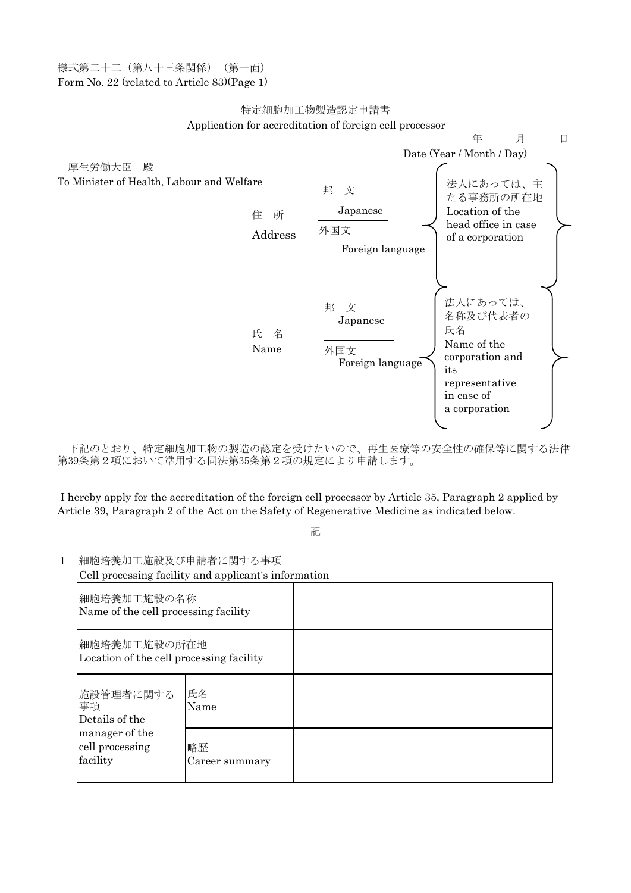様式第二十二(第八十三条関係)(第一面) Form No. 22 (related to Article 83)(Page 1)

## Application for accreditation of foreign cell processor 特定細胞加工物製造認定申請書



下記のとおり、特定細胞加工物の製造の認定を受けたいので、再生医療等の安全性の確保等に関する法律 第39条第2項において準用する同法第35条第2項の規定により申請します。

I hereby apply for the accreditation of the foreign cell processor by Article 35, Paragraph 2 applied by Article 39, Paragraph 2 of the Act on the Safety of Regenerative Medicine as indicated below.

記

1 細胞培養加工施設及び申請者に関する事項

Cell processing facility and applicant's information

| 細胞培養加工施設の名称<br>Name of the cell processing facility                                |                      |  |
|------------------------------------------------------------------------------------|----------------------|--|
| 細胞培養加工施設の所在地<br>Location of the cell processing facility                           |                      |  |
| 施設管理者に関する<br>事項<br>Details of the<br>manager of the<br>cell processing<br>facility | 氏名<br>Name           |  |
|                                                                                    | 略歴<br>Career summary |  |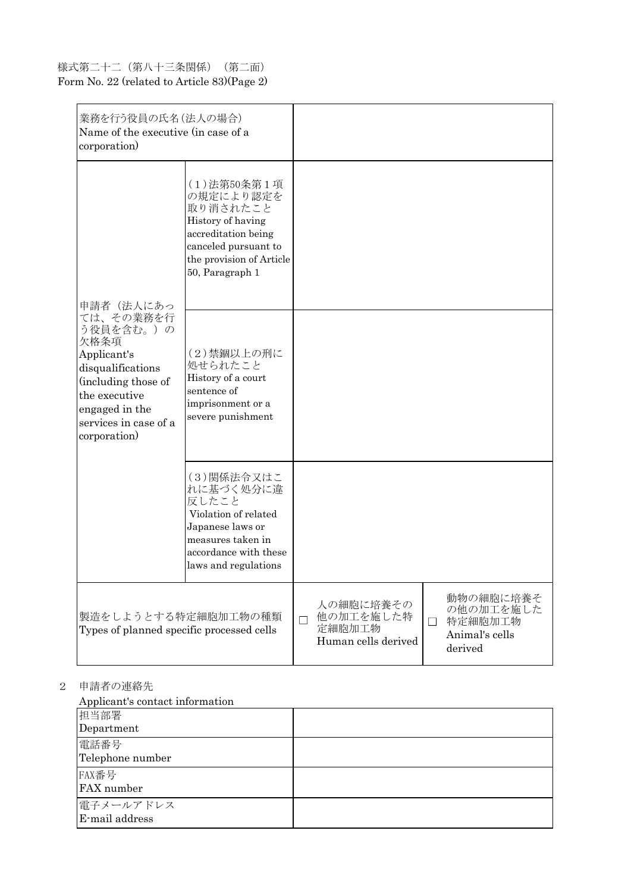## 様式第二十二(第八十三条関係)(第二面) Form No. 22 (related to Article 83)(Page 2)

| 業務を行う役員の氏名(法人の場合)<br>Name of the executive (in case of a<br>corporation)                                                                                                           |                                                                                                                                                         |   |                                                         |        |                                                                |
|------------------------------------------------------------------------------------------------------------------------------------------------------------------------------------|---------------------------------------------------------------------------------------------------------------------------------------------------------|---|---------------------------------------------------------|--------|----------------------------------------------------------------|
| 申請者(法人にあっ<br>ては、その業務を行<br>う役員を含む。)の<br>欠格条項<br>Applicant's<br>disqualifications<br>(including those of<br>the executive<br>engaged in the<br>services in case of a<br>corporation) | (1)法第50条第1項<br>の規定により認定を<br>取り消されたこと<br>History of having<br>accreditation being<br>canceled pursuant to<br>the provision of Article<br>50, Paragraph 1 |   |                                                         |        |                                                                |
|                                                                                                                                                                                    | (2)禁錮以上の刑に<br>処せられたこと<br>History of a court<br>sentence of<br>imprisonment or a<br>severe punishment                                                    |   |                                                         |        |                                                                |
|                                                                                                                                                                                    | (3)関係法令又はこ<br>れに基づく処分に違<br>反したこと<br>Violation of related<br>Japanese laws or<br>measures taken in<br>accordance with these<br>laws and regulations      |   |                                                         |        |                                                                |
| 製造をしようとする特定細胞加工物の種類<br>Types of planned specific processed cells                                                                                                                   |                                                                                                                                                         | П | 人の細胞に培養その<br>他の加工を施した特<br>定細胞加工物<br>Human cells derived | $\Box$ | 動物の細胞に培養そ<br>の他の加工を施した<br>特定細胞加工物<br>Animal's cells<br>derived |

2 申請者の連絡先

Applicant's contact information

| 1 I 1                       |  |
|-----------------------------|--|
| 担当部署                        |  |
| Department                  |  |
| 電話番号<br>Telephone number    |  |
| FAX番号<br>FAX number         |  |
| 電子メールアドレス<br>E-mail address |  |